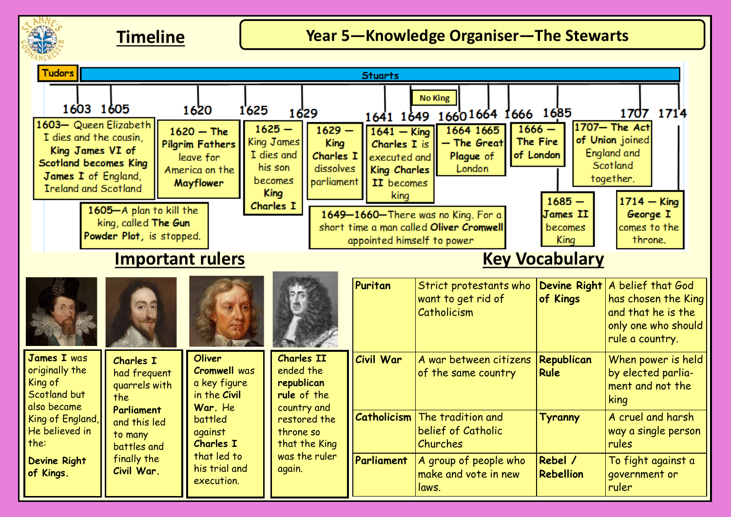

# **Timeline Year 5—Knowledge Organiser—The Stewarts**

| <b>Tudors</b><br><b>Stuarts</b>                                                                                                                    |                                                             |                                                                                    |                                                                                                                          |                                                                 |                                                                                     |                                                                        |                                                      |                                                                                                          |
|----------------------------------------------------------------------------------------------------------------------------------------------------|-------------------------------------------------------------|------------------------------------------------------------------------------------|--------------------------------------------------------------------------------------------------------------------------|-----------------------------------------------------------------|-------------------------------------------------------------------------------------|------------------------------------------------------------------------|------------------------------------------------------|----------------------------------------------------------------------------------------------------------|
| 1603 1605                                                                                                                                          |                                                             | 1620                                                                               | 1625<br>1629                                                                                                             |                                                                 |                                                                                     | <b>No King</b><br>1641 1649 1660 1664 1666 1685                        |                                                      | 1707 1714                                                                                                |
| 1603- Queen Elizabeth<br>I dies and the cousin.<br>King James VI of<br>Scotland becomes King<br>James I of England,<br><b>Ireland and Scotland</b> |                                                             | $1620 - The$<br><b>Pilgrim Fathers</b><br>leave for<br>America on the<br>Mayflower | $1625 -$<br>King James<br>I dies and<br>his son<br>becomes<br><b>King</b>                                                | $1629 -$<br><b>King</b><br>Charles I<br>dissolves<br>parliament | $1641 -$ King<br>Charles I is<br>executed and<br>King Charles<br>II becomes<br>king | 1664 1665<br>- The Great<br>Plaque of<br>London                        | $1666 -$<br>The Fire<br>of London<br>$1685 -$        | 1707- The Act<br>of Union joined<br>England and<br>Scotland<br>together.                                 |
| 1605-A plan to kill the<br>king, called The Gun<br>Powder Plot, is stopped.                                                                        |                                                             |                                                                                    | Charles I<br>1649-1660-There was no King. For a<br>short time a man called Oliver Cromwell<br>appointed himself to power |                                                                 |                                                                                     | <b>James II</b><br>becomes<br>King                                     | $1714 -$ King<br>George I<br>comes to the<br>throne. |                                                                                                          |
| <b>Important rulers</b>                                                                                                                            |                                                             |                                                                                    |                                                                                                                          |                                                                 | <b>Key Vocabulary</b>                                                               |                                                                        |                                                      |                                                                                                          |
|                                                                                                                                                    |                                                             |                                                                                    |                                                                                                                          |                                                                 | Puritan                                                                             | Strict protestants who<br>want to get rid of<br>Catholicism            | <b>Devine Right</b><br>of Kings                      | A belief that God<br>has chosen the King<br>and that he is the<br>only one who should<br>rule a country. |
| <b>James I</b> was<br>originally the<br>King of<br>Scotland but<br>also became                                                                     | <b>Charles I</b><br>had frequent<br>quarrels with<br>the    | <b>Oliver</b><br><b>Cromwell was</b><br>a key figure<br>in the Civil<br>War, He    | <b>Charles II</b><br>ended the<br>republican<br>rule of the                                                              | country and<br>restored the<br>that the King<br>was the ruler   | Civil War                                                                           | A war between citizens<br>of the same country                          | Republican<br><b>Rule</b>                            | When power is held<br>by elected parlia-<br>ment and not the<br>king                                     |
| King of England,<br>He believed in<br>the:<br>Devine Right<br>of Kings.                                                                            | <b>Parliament</b><br>and this led<br>to many<br>battles and | battled<br>against<br><b>Charles I</b>                                             | throne so                                                                                                                |                                                                 |                                                                                     | <b>Catholicism</b> The tradition and<br>belief of Catholic<br>Churches | Tyranny                                              | A cruel and harsh<br>way a single person<br>rules                                                        |
|                                                                                                                                                    | finally the<br>Civil War.                                   | that led to<br>his trial and<br>execution.                                         | again.                                                                                                                   |                                                                 | Parliament                                                                          | A group of people who<br>make and vote in new<br>laws.                 | Rebel /<br><b>Rebellion</b>                          | To fight against a<br>government or<br>ruler                                                             |